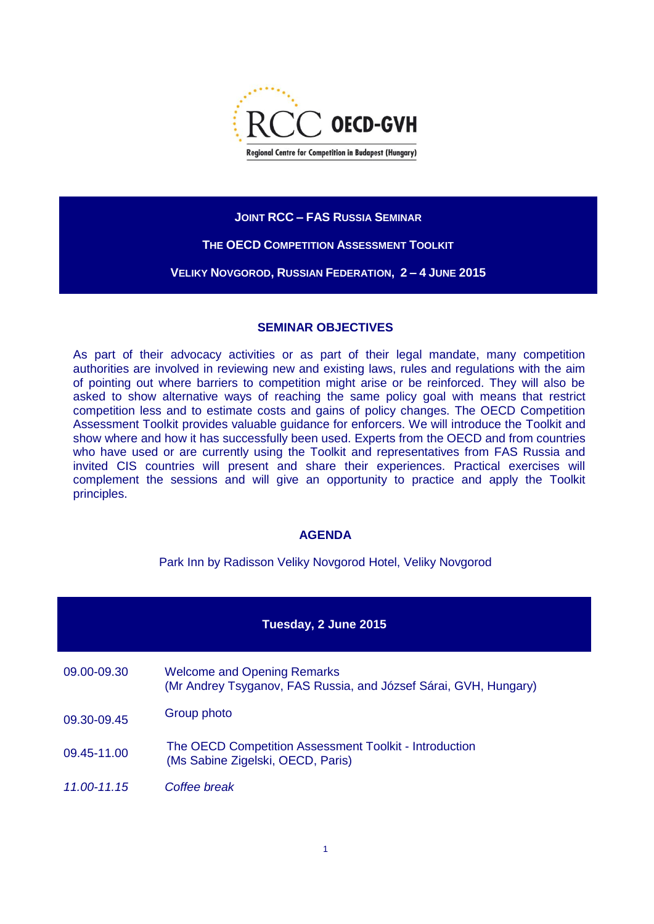

## **JOINT RCC – FAS RUSSIA SEMINAR**

## **THE OECD COMPETITION ASSESSMENT TOOLKIT**

**VELIKY NOVGOROD, RUSSIAN FEDERATION, 2 – 4 JUNE 2015**

## **SEMINAR OBJECTIVES**

As part of their advocacy activities or as part of their legal mandate, many competition authorities are involved in reviewing new and existing laws, rules and regulations with the aim of pointing out where barriers to competition might arise or be reinforced. They will also be asked to show alternative ways of reaching the same policy goal with means that restrict competition less and to estimate costs and gains of policy changes. The OECD Competition Assessment Toolkit provides valuable guidance for enforcers. We will introduce the Toolkit and show where and how it has successfully been used. Experts from the OECD and from countries who have used or are currently using the Toolkit and representatives from FAS Russia and invited CIS countries will present and share their experiences. Practical exercises will complement the sessions and will give an opportunity to practice and apply the Toolkit principles.

## **AGENDA**

Park Inn by Radisson Veliky Novgorod Hotel, Veliky Novgorod

# **Tuesday, 2 June 2015**

- 09.00-09.30 Welcome and Opening Remarks (Mr Andrey Tsyganov, FAS Russia, and József Sárai, GVH, Hungary)
- 09.30-09.45 Group photo
- 09.45-11.00 The OECD Competition Assessment Toolkit Introduction (Ms Sabine Zigelski, OECD, Paris)
- *11.00-11.15 Coffee break*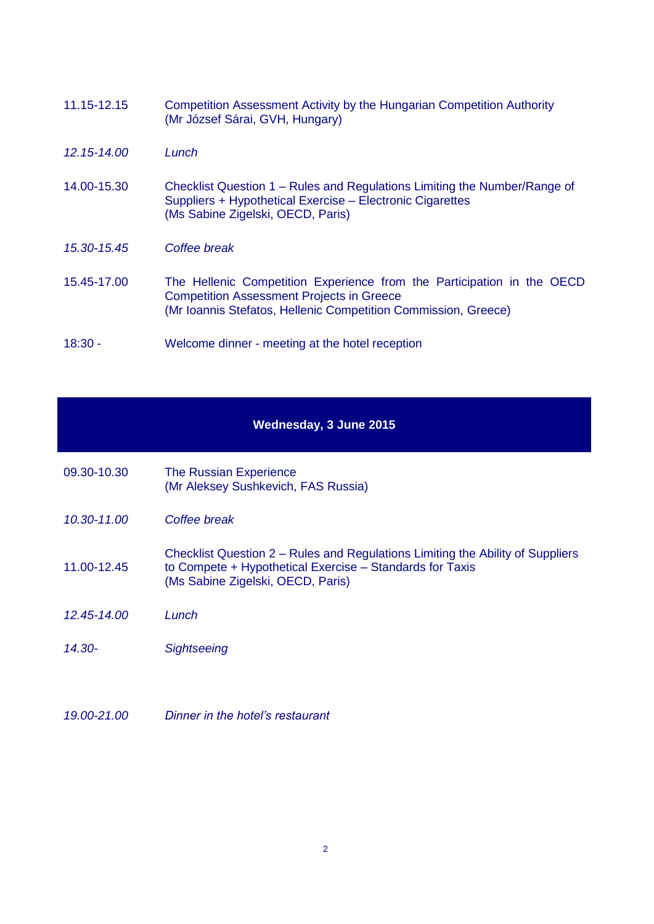| 11.15-12.15 | Competition Assessment Activity by the Hungarian Competition Authority |
|-------------|------------------------------------------------------------------------|
|             | (Mr József Sárai, GVH, Hungary)                                        |

- *12.15-14.00 Lunch*
- 14.00-15.30 Checklist Question 1 Rules and Regulations Limiting the Number/Range of Suppliers + Hypothetical Exercise – Electronic Cigarettes (Ms Sabine Zigelski, OECD, Paris)
- *15.30-15.45 Coffee break*
- 15.45-17.00 The Hellenic Competition Experience from the Participation in the OECD Competition Assessment Projects in Greece (Mr Ioannis Stefatos, Hellenic Competition Commission, Greece)
- 18:30 Welcome dinner meeting at the hotel reception

#### **Wednesday, 3 June 2015**

- 09.30-10.30 The Russian Experience (Mr Aleksey Sushkevich, FAS Russia)
- *10.30-11.00 Coffee break*
- 11.00-12.45 Checklist Question 2 – Rules and Regulations Limiting the Ability of Suppliers to Compete + Hypothetical Exercise – Standards for Taxis (Ms Sabine Zigelski, OECD, Paris)
- *12.45-14.00 Lunch*
- *14.30- Sightseeing*
- *19.00-21.00 Dinner in the hotel's restaurant*